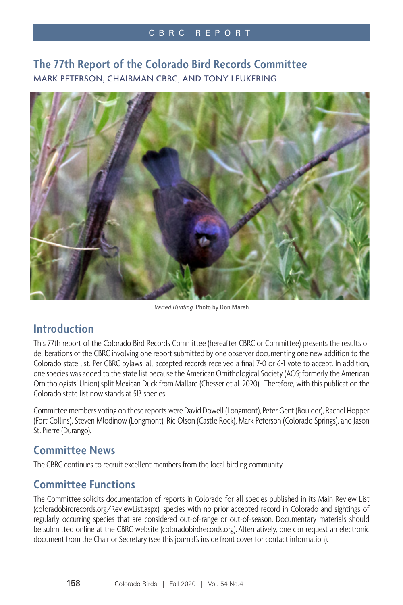## **The 77th Report of the Colorado Bird Records Committee** MARK PETERSON, CHAIRMAN CBRC, AND TONY LEUKERING



*Varied Bunting.* Photo by Don Marsh

## **Introduction**

This 77th report of the Colorado Bird Records Committee (hereafter CBRC or Committee) presents the results of deliberations of the CBRC involving one report submitted by one observer documenting one new addition to the Colorado state list. Per CBRC bylaws, all accepted records received a final 7-0 or 6-1 vote to accept. In addition, one species was added to the state list because the American Ornithological Society (AOS; formerly the American Ornithologists' Union) split Mexican Duck from Mallard (Chesser et al. 2020). Therefore, with this publication the Colorado state list now stands at 513 species.

Committee members voting on these reports were David Dowell (Longmont), Peter Gent (Boulder), Rachel Hopper (Fort Collins), Steven Mlodinow (Longmont), Ric Olson (Castle Rock), Mark Peterson (Colorado Springs), and Jason St. Pierre (Durango).

## **Committee News**

The CBRC continues to recruit excellent members from the local birding community.

## **Committee Functions**

The Committee solicits documentation of reports in Colorado for all species published in its Main Review List (coloradobirdrecords.org/ReviewList.aspx), species with no prior accepted record in Colorado and sightings of regularly occurring species that are considered out-of-range or out-of-season. Documentary materials should be submitted online at the CBRC website (coloradobirdrecords.org). Alternatively, one can request an electronic document from the Chair or Secretary (see this journal's inside front cover for contact information).